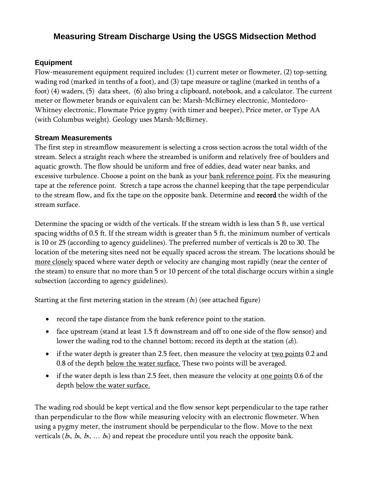# **Measuring Stream Discharge Using the USGS Midsection Method**

## **Equipment**

Flow-measurement equipment required includes: (1) current meter or flowmeter, (2) top-setting wading rod (marked in tenths of a foot), and (3) tape measure or tagline (marked in tenths of a foot) (4) waders, (5) data sheet, (6) also bring a clipboard, notebook, and a calculator. The current meter or flowmeter brands or equivalent can be: Marsh-McBirney electronic, Montedoro-Whitney electronic, Flowmate Price pygmy (with timer and beeper), Price meter, or Type AA (with Columbus weight). Geology uses Marsh-McBirney.

### **Stream Measurements**

The first step in streamflow measurement is selecting a cross section across the total width of the stream. Select a straight reach where the streambed is uniform and relatively free of boulders and aquatic growth. The flow should be uniform and free of eddies, dead water near banks, and excessive turbulence. Choose a point on the bank as your bank reference point. Fix the measuring tape at the reference point. Stretch a tape across the channel keeping that the tape perpendicular to the stream flow, and fix the tape on the opposite bank. Determine and record the width of the stream surface.

Determine the spacing or width of the verticals. If the stream width is less than 5 ft, use vertical spacing widths of 0.5 ft. If the stream width is greater than 5 ft, the minimum number of verticals is 10 or 25 (according to agency guidelines). The preferred number of verticals is 20 to 30. The location of the metering sites need not be equally spaced across the stream. The locations should be more closely spaced where water depth or velocity are changing most rapidly (near the center of the steam) to ensure that no more than 5 or 10 percent of the total discharge occurs within a single subsection (according to agency guidelines).

Starting at the first metering station in the stream  $(b_2)$  (see attached figure)

- record the tape distance from the bank reference point to the station.
- face upstream (stand at least 1.5 ft downstream and off to one side of the flow sensor) and lower the wading rod to the channel bottom; record its depth at the station  $(d_2)$ .
- if the water depth is greater than 2.5 feet, then measure the velocity at two points 0.2 and 0.8 of the depth below the water surface. These two points will be averaged.
- if the water depth is less than 2.5 feet, then measure the velocity at <u>one points</u> 0.6 of the depth below the water surface.

The wading rod should be kept vertical and the flow sensor kept perpendicular to the tape rather than perpendicular to the flow while measuring velocity with an electronic flowmeter. When using a pygmy meter, the instrument should be perpendicular to the flow. Move to the next verticals ( $b_3$ ,  $b_4$ ,  $b_5$ , ...  $b_n$ ) and repeat the procedure until you reach the opposite bank.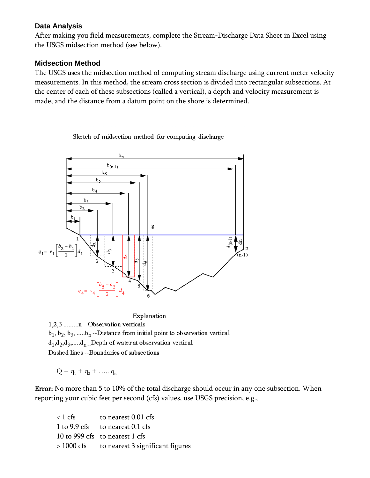#### **Data Analysis**

After making you field measurements, complete the Stream-Discharge Data Sheet in Excel using the USGS midsection method (see below).

### **Midsection Method**

The USGS uses the midsection method of computing stream discharge using current meter velocity measurements. In this method, the stream cross section is divided into rectangular subsections. At the center of each of these subsections (called a vertical), a depth and velocity measurement is made, and the distance from a datum point on the shore is determined.

Sketch of midsection method for computing discharge



Explanation

1,2,3 .........n --Observation verticals  $b_1, b_2, b_3, \dots, b_n$ --Distance from initial point to observation vertical  $d_1, d_2, d_3, \ldots, d_n$ . Depth of water at observation vertical

Dashed lines --Boundaries of subsections

 $Q = q_1 + q_2 + \dots + q_n$ 

Error: No more than 5 to 10% of the total discharge should occur in any one subsection. When reporting your cubic feet per second (cfs) values, use USGS precision, e.g.,

| $\langle 1 \text{ cfs} \rangle$ | to nearest 0.01 cfs                         |
|---------------------------------|---------------------------------------------|
|                                 | 1 to 9.9 cfs to nearest 0.1 cfs             |
|                                 | 10 to 999 cfs to nearest 1 cfs              |
|                                 | > 1000 cfs to nearest 3 significant figures |